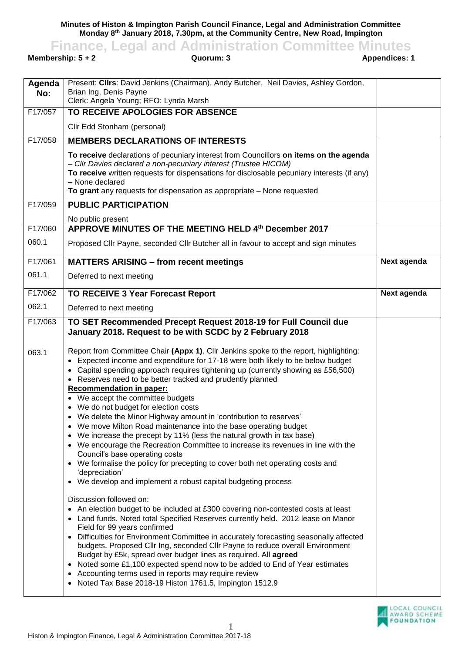**Minutes of Histon & Impington Parish Council Finance, Legal and Administration Committee Monday 8 th January 2018, 7.30pm, at the Community Centre, New Road, Impington**

**Finance, Legal and Administration Committee Minutes**<br>**Appendices: 1**<br>Appendices: 1

**Membership: 5 + 2** 

|               | Present: Cllrs: David Jenkins (Chairman), Andy Butcher, Neil Davies, Ashley Gordon,                                                                                                                                                                                                                                                                                                                                                                                                                                                                                                                                                                                                                                                                                                                                                                                                                                                                                                                                                                                                                                                                                                                                                                                                                                                                                                                                                                                                                                                                                                                                                                                                                            |             |
|---------------|----------------------------------------------------------------------------------------------------------------------------------------------------------------------------------------------------------------------------------------------------------------------------------------------------------------------------------------------------------------------------------------------------------------------------------------------------------------------------------------------------------------------------------------------------------------------------------------------------------------------------------------------------------------------------------------------------------------------------------------------------------------------------------------------------------------------------------------------------------------------------------------------------------------------------------------------------------------------------------------------------------------------------------------------------------------------------------------------------------------------------------------------------------------------------------------------------------------------------------------------------------------------------------------------------------------------------------------------------------------------------------------------------------------------------------------------------------------------------------------------------------------------------------------------------------------------------------------------------------------------------------------------------------------------------------------------------------------|-------------|
| Agenda<br>No: | Brian Ing, Denis Payne                                                                                                                                                                                                                                                                                                                                                                                                                                                                                                                                                                                                                                                                                                                                                                                                                                                                                                                                                                                                                                                                                                                                                                                                                                                                                                                                                                                                                                                                                                                                                                                                                                                                                         |             |
|               | Clerk: Angela Young; RFO: Lynda Marsh                                                                                                                                                                                                                                                                                                                                                                                                                                                                                                                                                                                                                                                                                                                                                                                                                                                                                                                                                                                                                                                                                                                                                                                                                                                                                                                                                                                                                                                                                                                                                                                                                                                                          |             |
| F17/057       | TO RECEIVE APOLOGIES FOR ABSENCE                                                                                                                                                                                                                                                                                                                                                                                                                                                                                                                                                                                                                                                                                                                                                                                                                                                                                                                                                                                                                                                                                                                                                                                                                                                                                                                                                                                                                                                                                                                                                                                                                                                                               |             |
|               | Cllr Edd Stonham (personal)                                                                                                                                                                                                                                                                                                                                                                                                                                                                                                                                                                                                                                                                                                                                                                                                                                                                                                                                                                                                                                                                                                                                                                                                                                                                                                                                                                                                                                                                                                                                                                                                                                                                                    |             |
| F17/058       | <b>MEMBERS DECLARATIONS OF INTERESTS</b>                                                                                                                                                                                                                                                                                                                                                                                                                                                                                                                                                                                                                                                                                                                                                                                                                                                                                                                                                                                                                                                                                                                                                                                                                                                                                                                                                                                                                                                                                                                                                                                                                                                                       |             |
|               | To receive declarations of pecuniary interest from Councillors on items on the agenda<br>- Cllr Davies declared a non-pecuniary interest (Trustee HICOM)<br>To receive written requests for dispensations for disclosable pecuniary interests (if any)<br>- None declared<br>To grant any requests for dispensation as appropriate - None requested                                                                                                                                                                                                                                                                                                                                                                                                                                                                                                                                                                                                                                                                                                                                                                                                                                                                                                                                                                                                                                                                                                                                                                                                                                                                                                                                                            |             |
| F17/059       | <b>PUBLIC PARTICIPATION</b>                                                                                                                                                                                                                                                                                                                                                                                                                                                                                                                                                                                                                                                                                                                                                                                                                                                                                                                                                                                                                                                                                                                                                                                                                                                                                                                                                                                                                                                                                                                                                                                                                                                                                    |             |
|               | No public present                                                                                                                                                                                                                                                                                                                                                                                                                                                                                                                                                                                                                                                                                                                                                                                                                                                                                                                                                                                                                                                                                                                                                                                                                                                                                                                                                                                                                                                                                                                                                                                                                                                                                              |             |
| F17/060       | APPROVE MINUTES OF THE MEETING HELD 4th December 2017                                                                                                                                                                                                                                                                                                                                                                                                                                                                                                                                                                                                                                                                                                                                                                                                                                                                                                                                                                                                                                                                                                                                                                                                                                                                                                                                                                                                                                                                                                                                                                                                                                                          |             |
| 060.1         | Proposed Cllr Payne, seconded Cllr Butcher all in favour to accept and sign minutes                                                                                                                                                                                                                                                                                                                                                                                                                                                                                                                                                                                                                                                                                                                                                                                                                                                                                                                                                                                                                                                                                                                                                                                                                                                                                                                                                                                                                                                                                                                                                                                                                            |             |
| F17/061       | <b>MATTERS ARISING - from recent meetings</b>                                                                                                                                                                                                                                                                                                                                                                                                                                                                                                                                                                                                                                                                                                                                                                                                                                                                                                                                                                                                                                                                                                                                                                                                                                                                                                                                                                                                                                                                                                                                                                                                                                                                  | Next agenda |
| 061.1         | Deferred to next meeting                                                                                                                                                                                                                                                                                                                                                                                                                                                                                                                                                                                                                                                                                                                                                                                                                                                                                                                                                                                                                                                                                                                                                                                                                                                                                                                                                                                                                                                                                                                                                                                                                                                                                       |             |
| F17/062       | <b>TO RECEIVE 3 Year Forecast Report</b>                                                                                                                                                                                                                                                                                                                                                                                                                                                                                                                                                                                                                                                                                                                                                                                                                                                                                                                                                                                                                                                                                                                                                                                                                                                                                                                                                                                                                                                                                                                                                                                                                                                                       | Next agenda |
| 062.1         | Deferred to next meeting                                                                                                                                                                                                                                                                                                                                                                                                                                                                                                                                                                                                                                                                                                                                                                                                                                                                                                                                                                                                                                                                                                                                                                                                                                                                                                                                                                                                                                                                                                                                                                                                                                                                                       |             |
| 063.1         | January 2018. Request to be with SCDC by 2 February 2018<br>Report from Committee Chair (Appx 1). Cllr Jenkins spoke to the report, highlighting:<br>• Expected income and expenditure for 17-18 were both likely to be below budget<br>• Capital spending approach requires tightening up (currently showing as £56,500)<br>• Reserves need to be better tracked and prudently planned<br><b>Recommendation in paper:</b><br>• We accept the committee budgets<br>• We do not budget for election costs<br>• We delete the Minor Highway amount in 'contribution to reserves'<br>• We move Milton Road maintenance into the base operating budget<br>• We increase the precept by 11% (less the natural growth in tax base)<br>• We encourage the Recreation Committee to increase its revenues in line with the<br>Council's base operating costs<br>• We formalise the policy for precepting to cover both net operating costs and<br>'depreciation'<br>• We develop and implement a robust capital budgeting process<br>Discussion followed on:<br>• An election budget to be included at £300 covering non-contested costs at least<br>• Land funds. Noted total Specified Reserves currently held. 2012 lease on Manor<br>Field for 99 years confirmed<br>• Difficulties for Environment Committee in accurately forecasting seasonally affected<br>budgets. Proposed Cllr Ing, seconded Cllr Payne to reduce overall Environment<br>Budget by £5k, spread over budget lines as required. All agreed<br>• Noted some £1,100 expected spend now to be added to End of Year estimates<br>• Accounting terms used in reports may require review<br>• Noted Tax Base 2018-19 Histon 1761.5, Impington 1512.9 |             |